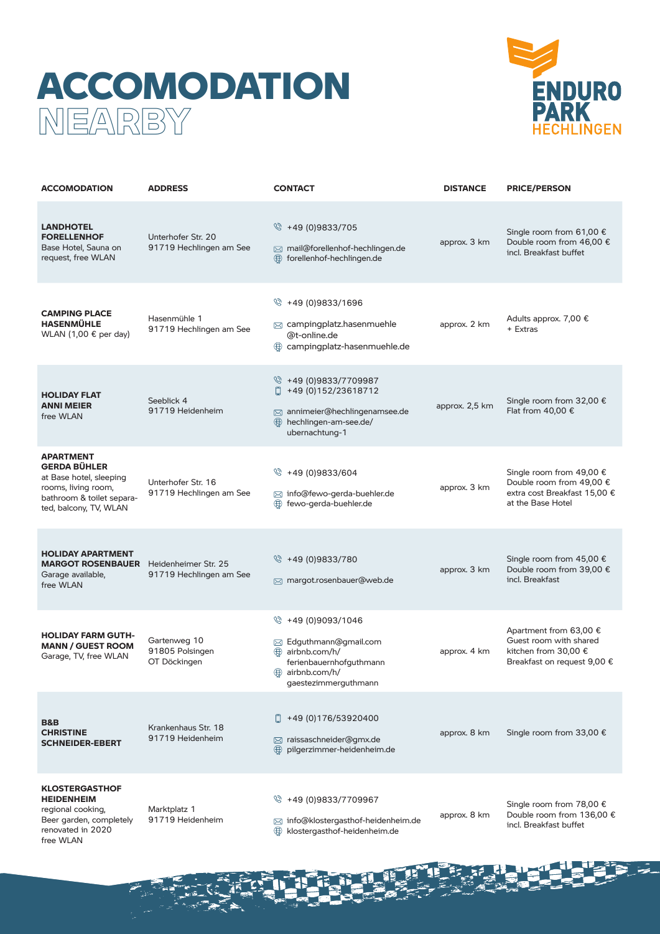## ACCOMODATION **NEARBY**



| <b>ACCOMODATION</b>                                                                                                                              | <b>ADDRESS</b>                                  | <b>CONTACT</b>                                                                                                                         | <b>DISTANCE</b> | <b>PRICE/PERSON</b>                                                                                       |
|--------------------------------------------------------------------------------------------------------------------------------------------------|-------------------------------------------------|----------------------------------------------------------------------------------------------------------------------------------------|-----------------|-----------------------------------------------------------------------------------------------------------|
| <b>LANDHOTEL</b><br><b>FORELLENHOF</b><br>Base Hotel, Sauna on<br>request, free WLAN                                                             | Unterhofer Str. 20<br>91719 Hechlingen am See   | $\%$ +49 (0)9833/705<br>⊠ mail@forellenhof-hechlingen.de<br>⊕<br>forellenhof-hechlingen.de                                             | approx. 3 km    | Single room from 61,00 €<br>Double room from 46,00 €<br>incl. Breakfast buffet                            |
| <b>CAMPING PLACE</b><br><b>HASENMÜHLE</b><br>WLAN $(1,00 \in$ per day)                                                                           | Hasenmühle 1<br>91719 Hechlingen am See         | $\%$ +49 (0)9833/1696<br>$\boxtimes$ campingplatz.hasenmuehle<br>@t-online.de<br>⊕<br>campingplatz-hasenmuehle.de                      | approx. 2 km    | Adults approx. 7,00 €<br>+ Extras                                                                         |
| <b>HOLIDAY FLAT</b><br><b>ANNI MEIER</b><br>free WLAN                                                                                            | Seeblick 4<br>91719 Heidenheim                  | $\%$ +49 (0)9833/7709987<br>$\Box$ +49 (0)152/23618712<br>annimeier@hechlingenamsee.de<br>hechlingen-am-see.de/<br>₩<br>ubernachtung-1 | approx. 2,5 km  | Single room from 32,00 €<br>Flat from $40,00 \in$                                                         |
| <b>APARTMENT</b><br><b>GERDA BÜHLER</b><br>at Base hotel, sleeping<br>rooms, living room,<br>bathroom & toilet separa-<br>ted, balcony, TV, WLAN | Unterhofer Str. 16<br>91719 Hechlingen am See   | Ø.<br>+49 (0)9833/604<br>⊠ info@fewo-gerda-buehler.de<br>fewo-gerda-buehler.de<br>⊕                                                    | approx. 3 km    | Single room from 49,00 €<br>Double room from 49,00 €<br>extra cost Breakfast 15,00 €<br>at the Base Hotel |
| <b>HOLIDAY APARTMENT</b><br><b>MARGOT ROSENBAUER</b> Heidenheimer Str. 25<br>Garage available,<br>free WLAN                                      | 91719 Hechlingen am See                         | $\%$ +49 (0)9833/780<br>$\boxtimes$ margot.rosenbauer@web.de                                                                           | approx. 3 km    | Single room from 45,00 €<br>Double room from 39,00 €<br>incl. Breakfast                                   |
| <b>HOLIDAY FARM GUTH-</b><br><b>MANN / GUEST ROOM</b><br>Garage, TV, free WLAN                                                                   | Gartenweg 10<br>91805 Polsingen<br>OT Döckingen | Ø.<br>+49 (0)9093/1046<br>⊠ Edguthmann@gmail.com<br>airbnb.com/h/<br>ferienbauernhofguthmann<br>airbnb.com/h/<br>gaestezimmerguthmann  | approx. 4 km    | Apartment from 63,00 €<br>Guest room with shared<br>kitchen from 30,00 €<br>Breakfast on request 9,00 €   |
| <b>B&amp;B</b><br><b>CHRISTINE</b><br><b>SCHNEIDER-EBERT</b>                                                                                     | Krankenhaus Str. 18<br>91719 Heidenheim         | o<br>+49 (0) 176/53920400<br>⊠ raissaschneider@gmx.de<br>pilgerzimmer-heidenheim.de                                                    | approx. 8 km    | Single room from 33,00 €                                                                                  |
| <b>KLOSTERGASTHOF</b><br><b>HEIDENHEIM</b><br>regional cooking,<br>Beer garden, completely<br>renovated in 2020<br>free WLAN                     | Marktplatz 1<br>91719 Heidenheim                | Q<br>+49 (0)9833/7709967<br>⊠ info@klostergasthof-heidenheim.de<br>klostergasthof-heidenheim.de<br>⊕                                   | approx. 8 km    | Single room from 78,00 €<br>Double room from 136,00 €<br>incl. Breakfast buffet                           |

THE R